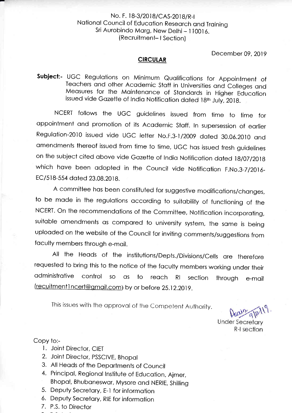### No. F. 18-3/2018/CAS-2018/R-I Notionol council of Educotion Reseorch ond Troining Sri Aurobindo Marg, New Delhi - 110016. ( Recruitmeni- | Section)

December 09,2019

#### CIRCULAR

Subject:- UGC Regulations on Minimum Qualifications for Appointment of Teochers ond other Acodemic Stoff in Universities ond Colleges ond Meosures for the Mointenonce of Stondords in Higher Educotion issued vide Gazette of India Notification dated 18th July, 2018.

NCERT follows the UGC guidelines issued from time to time for oppointment ond promotion of its Acodemic Stoff. ln supersession of eorlier Regulation-2010 issued vide UGC letter No.F.3-1/2009 dated 30.06.2010 and amendments thereof issued from time to time, UGC has issued fresh guidelines on the subject cited above vide Gazette of India Notification dated 18/07/2018 which have been adopted in the Council vide Notification F.No.3-7/2016-EC/518-554 dated 23.08.2018.

A committee hos been constituted for suggestive modificotions/chonges, to be mode in the regulotions occording to suitobility of functioning of the NCERT. On the recommendotions of the Committee, Notificotion incorporoting, suitable amendments as compared to university system, the same is being uploaded on the website of the Council for inviting comments/suggestions from foculty members through e-moil.

All the Heods of the institutions/Depts./Divisions/Cells ore therefore requested to bring this to the notice of the foculty members working under their odministrotive control so os to reoch Rl section through e-moil (recuitmentl ncert@qmoil.com) by or before 2s.12.201g.

This issues with the approval of the Competent Authority.

**Under Secretary** R-I section

### Copy to:-

- l. Joint Director, CIET
- 2. Joint Director, PSSCIVE, Bhopal
- 3. All Heods of the Deportments of Council
- 4. Principol, Regionol lnstitute of Educotion, Ajmer, Bhopol, Bhuboneswor, Mysore ond NERIE, Shilling
- 5. Deputy Secretory, E-l for informotion
- 6. Deputy Secretory, RIE for informotion
- 7. P.S. to Director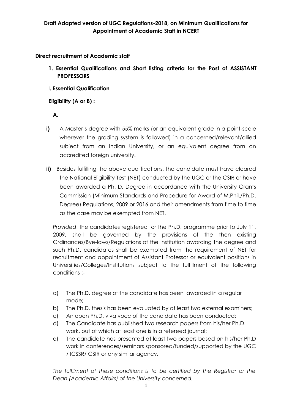**Direct recruitment of Academic staff**

- **1. Essential Qualifications and Short listing criteria for the Post of ASSISTANT PROFESSORS**
- I**. Essential Qualification**

# **Eligibility (A or B) :**

 **A.**

- **i)** A Master's degree with 55% marks (or an equivalent grade in a point-scale wherever the grading system is followed) in a concerned/relevant/allied subject from an Indian University, or an equivalent degree from an accredited foreign university.
- **ii)** Besides fulfilling the above qualifications, the candidate must have cleared the National Eligibility Test (NET) conducted by the UGC or the CSIR or have been awarded a Ph. D*.* Degree in accordance with the University Grants Commission (Minimum Standards and Procedure for Award of M.Phil./Ph.D. Degree) Regulations, 2009 or 2016 and their amendments from time to time as the case may be exempted from NET.

*Provided*, the candidates registered for the Ph.D. programme prior to July 11, 2009, shall be governed by the provisions of the then existing Ordinances/Bye-laws/Regulations of the Institution awarding the degree and such Ph.D. candidates shall be exempted from the requirement of NET for recruitment and appointment of Assistant Professor or equivalent positions in Universities/Colleges/Institutions subject to the fulfillment of the following conditions :-

- a) The Ph.D. degree of the candidate has been awarded in a regular mode;
- b) The Ph.D. thesis has been evaluated by at least two external examiners;
- c) An open Ph.D. viva voce of the candidate has been conducted;
- d) The Candidate has published two research papers from his/her Ph.D. work, out of which at least one is in a refereed journal;
- e) The candidate has presented at least two papers based on his/her Ph.D work in conferences/seminars sponsored/funded/supported by the UGC / ICSSR/ CSIR or any similar agency.

*The fulfilment of these conditions is to be certified by the Registrar or the Dean (Academic Affairs) of the University concerned.*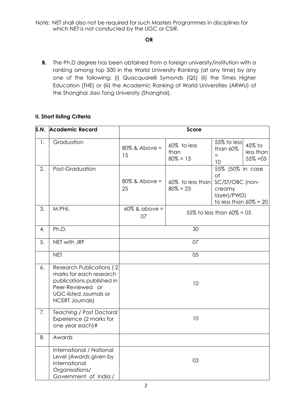Note: NET shall also not be required for such Masters Programmes in disciplines for which NET is not conducted by the UGC or CSIR.

### **OR**

**B.** The Ph.D degree has been obtained from a foreign university/institution with a ranking among top 500 in the World University Ranking (at any time) by any one of the following: (i) Quacquarelli Symonds (QS) (ii) the Times Higher Education (THE) or (iii) the Academic Ranking of World Universities (ARWU) of the Shanghai Jiao Tong University (Shanghai).

### **II. Short listing Criteria**

| S.N. | <b>Academic Record</b>                                                                                                                                                  |                        | Score                              |                                                                                                |                                    |
|------|-------------------------------------------------------------------------------------------------------------------------------------------------------------------------|------------------------|------------------------------------|------------------------------------------------------------------------------------------------|------------------------------------|
| 1.   | Graduation                                                                                                                                                              | $80\%$ & Above =<br>15 | 60% to less<br>than<br>$80\% = 13$ | 55% to less<br>than 60%<br>$=$<br>10                                                           | 45% to<br>less than<br>$55\% = 05$ |
| 2.   | Post-Graduation                                                                                                                                                         | $80\%$ & Above =<br>25 | 60% to less than<br>$80\% = 23$    | 55% (50% in case<br>of<br>SC/ST/OBC (non-<br>creamy<br>layer)/PWD)<br>to less than $60\% = 20$ |                                    |
| 3.   | M.Phil.                                                                                                                                                                 | $60\%$ & above =<br>07 |                                    | 55% to less than $60\% = 05$                                                                   |                                    |
| 4.   | Ph.D.                                                                                                                                                                   |                        | 30                                 |                                                                                                |                                    |
| 5.   | NET with JRF                                                                                                                                                            |                        | 07                                 |                                                                                                |                                    |
|      | <b>NET</b>                                                                                                                                                              |                        | 05                                 |                                                                                                |                                    |
| 6.   | <b>Research Publications (2)</b><br>marks for each research<br>publications published in<br>Peer-Reviewed or<br><b>UGC-listed Journals or</b><br><b>NCERT Journals)</b> |                        | 10                                 |                                                                                                |                                    |
| 7.   | <b>Teaching / Post Doctoral</b><br>Experience (2 marks for<br>one year each)#                                                                                           |                        | 10                                 |                                                                                                |                                    |
| 8.   | Awards                                                                                                                                                                  |                        |                                    |                                                                                                |                                    |
|      | International / National<br>Level (Awards given by<br>International<br>Organisations/<br>Government of India /                                                          |                        | 03                                 |                                                                                                |                                    |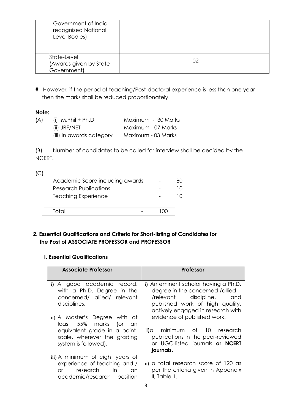| Government of India<br>recognized National<br>Level Bodies) |    |
|-------------------------------------------------------------|----|
| State-Level<br>(Awards given by State<br>Government)        | 02 |

**#** However, if the period of teaching/Post-doctoral experience is less than one year then the marks shall be reduced proportionately.

### **Note:**

| (A) | (i) $M.P\text{hil} + Ph.D$ | Maximum - 30 Marks |
|-----|----------------------------|--------------------|
|     | (ii) JRF/NET               | Maximum - 07 Marks |
|     | (iii) In awards category   | Maximum - 03 Marks |

(B) Number of candidates to be called for interview shall be decided by the NCERT.

| C |                                 |    |
|---|---------------------------------|----|
|   | Academic Score including awards | 80 |
|   | Research Publications           | 10 |
|   | <b>Teaching Experience</b>      |    |
|   |                                 |    |
|   |                                 |    |

### **2. Essential Qualifications and Criteria for Short-listing of Candidates for the Post of ASSOCIATE PROFESSOR and PROFESSOR**

### **I. Essential Qualifications**

| <b>Associate Professor</b>                                                                                                                          | Professor                                                                                                                                                                       |
|-----------------------------------------------------------------------------------------------------------------------------------------------------|---------------------------------------------------------------------------------------------------------------------------------------------------------------------------------|
| i) A good academic record,<br>with a Ph.D. Degree in the<br>concerned/ allied/ relevant<br>disciplines.                                             | i) An eminent scholar having a Ph.D.<br>degree in the concerned /allied<br>/relevant discipline,<br>and<br>published work of high quality,<br>actively engaged in research with |
| ii) A Master's Degree with at<br>least 55% marks (or<br>- an<br>equivalent grade in a point-<br>scale, wherever the grading<br>system is followed). | evidence of published work.<br>ii)a minimum of 10 research<br>publications in the peer-reviewed<br>or UGC-listed journals or NCERT<br>journals.                                 |
| iii) A minimum of eight years of<br>experience of teaching and /<br>research in<br><b>or</b><br>$\alpha$ n<br>academic/research position            | ii) a total research score of 120 as<br>per the criteria given in Appendix<br>II, Table 1.                                                                                      |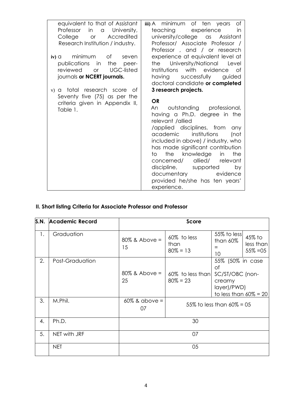| equivalent to that of Assistant<br>Professor<br>in a University,<br>College or<br>Accredited<br>Research Institution / industry.                                                                                                                     | iii) A minimum of ten years<br>Оf<br>teaching experience<br>in<br>university/college as Assistant<br>Professor/ Associate Professor /<br>Professor, and / or research                                                                                                                                                                                                                                                                                 |
|------------------------------------------------------------------------------------------------------------------------------------------------------------------------------------------------------------------------------------------------------|-------------------------------------------------------------------------------------------------------------------------------------------------------------------------------------------------------------------------------------------------------------------------------------------------------------------------------------------------------------------------------------------------------------------------------------------------------|
| minimum<br>of the contract of the contract of the contract of the contract of the contract of the contract of the contract<br>$iv)$ $\alpha$<br>seven<br>the<br>publications in<br>peer-<br>reviewed or<br>UGC-listed<br>journals or NCERT journals. | experience at equivalent level at<br>the University/National<br>Level<br>Institutions with evidence of<br>having successfully guided<br>doctoral candidate or completed                                                                                                                                                                                                                                                                               |
| v) a total research score of<br>Seventy five (75) as per the<br>criteria given in Appendix II,<br>Table 1.                                                                                                                                           | 3 research projects.<br><b>OR</b><br>outstanding professional,<br>An.<br>having a Ph.D. degree in the<br>relevant /allied<br>/applied disciplines, from<br>any<br>academic institutions<br>(not<br>included in above) / industry, who<br>has made significant contribution<br>to the knowledge<br>in<br>the<br>allied/ relevant<br>concerned/<br>discipline, supported<br>by<br>documentary evidence<br>provided he/she has ten years'<br>experience. |

# **II. Short listing Criteria for Associate Professor and Professor**

| S.N. | <b>Academic Record</b> |                        | <b>Score</b>                       |                                                                                                |                                    |
|------|------------------------|------------------------|------------------------------------|------------------------------------------------------------------------------------------------|------------------------------------|
| 1.   | Graduation             | $80\%$ & Above =<br>15 | 60% to less<br>than<br>$80\% = 13$ | 55% to less<br>than $60\%$<br>10                                                               | 45% to<br>less than<br>$55\% = 05$ |
| 2.   | Post-Graduation        | $80\%$ & Above =<br>25 | 60% to less than<br>$80\% = 23$    | 55% (50% in case<br>of<br>SC/ST/OBC (non-<br>creamy<br>layer)/PWD)<br>to less than $60\% = 20$ |                                    |
| 3.   | M.Phil.                | $60\%$ & above =<br>07 |                                    | 55% to less than $60\% = 05$                                                                   |                                    |
| 4.   | Ph.D.                  |                        | 30                                 |                                                                                                |                                    |
| 5.   | NET with JRF           |                        | 07                                 |                                                                                                |                                    |
|      | <b>NET</b>             |                        | 05                                 |                                                                                                |                                    |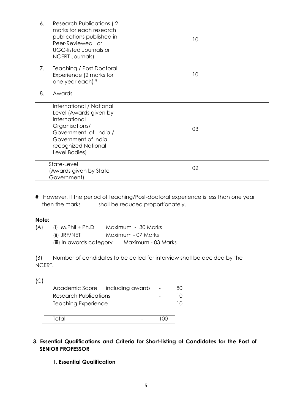| 6. | Research Publications (2)<br>marks for each research<br>publications published in<br>Peer-Reviewed or<br><b>UGC-listed Journals or</b><br><b>NCERT Journals)</b>              | 10 <sup>°</sup> |
|----|-------------------------------------------------------------------------------------------------------------------------------------------------------------------------------|-----------------|
| 7. | <b>Teaching / Post Doctoral</b><br>Experience (2 marks for<br>one year each)#                                                                                                 | 10 <sup>°</sup> |
| 8. | Awards                                                                                                                                                                        |                 |
|    | International / National<br>Level (Awards given by<br>International<br>Organisations/<br>Government of India /<br>Government of India<br>recognized National<br>Level Bodies) | 03              |
|    | State-Level<br>(Awards given by State<br>Government)                                                                                                                          | 02              |

**#** However, if the period of teaching/Post-doctoral experience is less than one year then the marks shall be reduced proportionately.

### **Note:**

| (A) | (i) $M.P$ hil + Ph.D     | Maximum - 30 Marks |
|-----|--------------------------|--------------------|
|     | (ii) JRF/NET             | Maximum - 07 Marks |
|     | (iii) In awards category | Maximum - 03 Marks |

(B) Number of candidates to be called for interview shall be decided by the NCERT.

 $(C)$ 

|                       | Academic Score including awards | 80. |
|-----------------------|---------------------------------|-----|
| Research Publications |                                 |     |
| Teaching Experience   |                                 |     |
|                       |                                 |     |
| Total                 |                                 |     |

### **3. Essential Qualifications and Criteria for Short-listing of Candidates for the Post of SENIOR PROFESSOR**

### **I. Essential Qualification**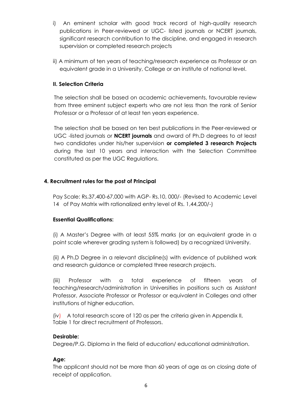- i) An eminent scholar with good track record of high-quality research publications in Peer-reviewed or UGC- listed journals or NCERT journals, significant research contribution to the discipline, and engaged in research supervision or completed research projects
- ii) A minimum of ten years of teaching/research experience as Professor or an equivalent grade in a University, College or an institute of national level.

### **II. Selection Criteria**

The selection shall be based on academic achievements, favourable review from three eminent subject experts who are not less than the rank of Senior Professor or a Professor of at least ten years experience.

The selection shall be based on ten best publications in the Peer-reviewed or UGC -listed journals or **NCERT journals** and award of Ph.D degrees to at least two candidates under his/her supervision **or completed 3 research Projects**  during the last 10 years and interaction with the Selection Committee constituted as per the UGC Regulations.

### **4. Recruitment rules for the post of Principal**

Pay Scale: Rs.37,400-67,000 with AGP- Rs.10, 000/- (Revised to Academic Level 14 of Pay Matrix with rationalized entry level of Rs. 1,44,200/-)

### **Essential Qualifications:**

(i) A Master's Degree with at least 55% marks (or an equivalent grade in a point scale wherever grading system is followed) by a recognized University.

(ii) A Ph.D Degree in a relevant discipline(s) with evidence of published work and research guidance or completed three research projects.

(iii) Professor with a total experience of fifteen years of teaching/research/administration in Universities in positions such as Assistant Professor, Associate Professor or Professor or equivalent in Colleges and other institutions of higher education.

(iv) A total research score of 120 as per the criteria given in Appendix II, Table 1 for direct recruitment of Professors.

### **Desirable:**

Degree/P.G. Diploma in the field of education/ educational administration.

### **Age:**

The applicant should not be more than 60 years of age as on closing date of receipt of application.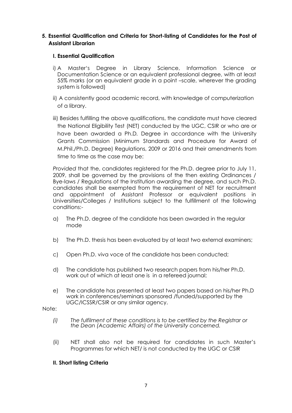### **5. Essential Qualification and Criteria for Short-listing of Candidates for the Post of Assistant Librarian**

#### **I. Essential Qualification**

- i) A Master's Degree in Library Science, Information Science or Documentation Science or an equivalent professional degree, with at least 55% marks (or an equivalent grade in a point –scale, wherever the grading system is followed)
- ii) A consistently good academic record, with knowledge of computerization of a library.
- iii) Besides fulfilling the above qualifications, the candidate must have cleared the National Eligibility Test (NET) conducted by the UGC, CSIR or who are or have been awarded a Ph.D*.* Degree in accordance with the University Grants Commission (Minimum Standards and Procedure for Award of M.Phil./Ph.D. Degree) Regulations, 2009 or 2016 and their amendments from time to time as the case may be:

*Provided* that the, candidates registered for the Ph.D. degree prior to July 11, 2009, shall be governed by the provisions of the then existing Ordinances / Bye-laws / Regulations of the Institution awarding the degree, and such Ph.D. candidates shall be exempted from the requirement of NET for recruitment and appointment of Assistant Professor or equivalent positions in Universities/Colleges / Institutions subject to the fulfillment of the following conditions:-

- a) The Ph.D. degree of the candidate has been awarded in the regular mode
- b) The Ph.D. thesis has been evaluated by at least two external examiners;
- c) Open Ph.D. viva voce of the candidate has been conducted;
- d) The candidate has published two research papers from his/her Ph.D. work out of which at least one is in a refereed journal;
- e) The candidate has presented at least two papers based on his/her Ph.D work in conferences/seminars sponsored /funded/supported by the UGC/ICSSR/CSIR or any similar agency.

Note:

- *(i) The fulfilment of these conditions is to be certified by the Registrar or the Dean (Academic Affairs) of the University concerned.*
- (ii) NET shall also not be required for candidates in such Master's Programmes for which NET/ is not conducted by the UGC or CSIR

#### **II. Short listing Criteria**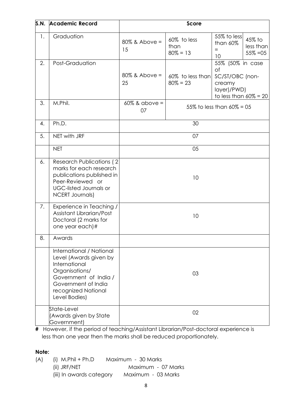| S.N. | <b>Academic Record</b>                                                                                                                                                        |                        | Score                              |                                                                                                |                                    |
|------|-------------------------------------------------------------------------------------------------------------------------------------------------------------------------------|------------------------|------------------------------------|------------------------------------------------------------------------------------------------|------------------------------------|
| 1.   | Graduation                                                                                                                                                                    | $80\%$ & Above =<br>15 | 60% to less<br>than<br>$80\% = 13$ | 55% to less<br>than 60%<br>$=$<br>10                                                           | 45% to<br>less than<br>$55\% = 05$ |
| 2.   | Post-Graduation                                                                                                                                                               | $80\%$ & Above =<br>25 | 60% to less than<br>$80\% = 23$    | 55% (50% in case<br>of<br>SC/ST/OBC (non-<br>creamy<br>layer)/PWD)<br>to less than $60\% = 20$ |                                    |
| 3.   | M.Phil.                                                                                                                                                                       | $60\%$ & above =<br>07 |                                    | 55% to less than $60\% = 05$                                                                   |                                    |
| 4.   | Ph.D.                                                                                                                                                                         |                        | 30                                 |                                                                                                |                                    |
| 5.   | NET with JRF                                                                                                                                                                  |                        | 07                                 |                                                                                                |                                    |
|      | <b>NET</b>                                                                                                                                                                    |                        | 05                                 |                                                                                                |                                    |
| 6.   | <b>Research Publications (2)</b><br>marks for each research<br>publications published in<br>Peer-Reviewed or<br><b>UGC-listed Journals or</b><br><b>NCERT Journals)</b>       |                        | 10                                 |                                                                                                |                                    |
| 7.   | Experience in Teaching /<br>Assistant Librarian/Post<br>Doctoral (2 marks for<br>one year each)#                                                                              |                        | 10                                 |                                                                                                |                                    |
| 8.   | Awards                                                                                                                                                                        |                        |                                    |                                                                                                |                                    |
|      | International / National<br>Level (Awards given by<br>International<br>Organisations/<br>Government of India /<br>Government of India<br>recognized National<br>Level Bodies) |                        | 03                                 |                                                                                                |                                    |
|      | State-Level<br>(Awards given by State<br>Government)                                                                                                                          |                        | 02                                 |                                                                                                |                                    |

**#** However, if the period of teaching/Assistant Librarian/Post-doctoral experience is less than one year then the marks shall be reduced proportionately.

# **Note:**

(A) (i) M.Phil + Ph.D Maximum - 30 Marks (ii) JRF/NET Maximum - 07 Marks (iii) In awards category Maximum - 03 Marks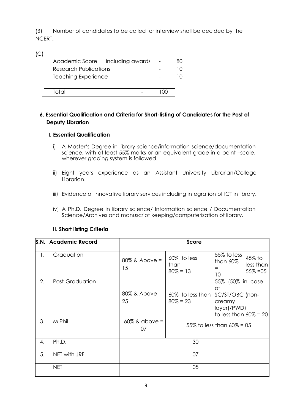(B) Number of candidates to be called for interview shall be decided by the NCERT.

|                            | Academic Score including awards | 80 |
|----------------------------|---------------------------------|----|
| Research Publications      |                                 |    |
| <b>Teaching Experience</b> |                                 |    |
|                            |                                 |    |
| Total                      |                                 |    |
|                            |                                 |    |

### **6. Essential Qualification and Criteria for Short-listing of Candidates for the Post of Deputy Librarian**

### **I. Essential Qualification**

 $(C)$ 

- i) A Master's Degree in library science/information science/documentation science, with at least 55% marks or an equivalent grade in a point –scale, wherever grading system is followed.
- ii) Eight years experience as an Assistant University Librarian/College Librarian.
- iii) Evidence of innovative library services including integration of ICT in library.
- iv) A Ph.D. Degree in library science/ Information science / Documentation Science/Archives and manuscript keeping/computerization of library.

### **II. Short listing Criteria**

| S.N. | <b>Academic Record</b> |                        | <b>Score</b>                       |                                                                                                |                                    |
|------|------------------------|------------------------|------------------------------------|------------------------------------------------------------------------------------------------|------------------------------------|
| 1.   | Graduation             | $80\%$ & Above =<br>15 | 60% to less<br>than<br>$80\% = 13$ | 55% to less<br>than 60%<br>10                                                                  | 45% to<br>less than<br>$55\% = 05$ |
| 2.   | Post-Graduation        | $80\%$ & Above =<br>25 | 60% to less than<br>$80\% = 23$    | 55% (50% in case<br>of<br>SC/ST/OBC (non-<br>creamy<br>layer)/PWD)<br>to less than $60\% = 20$ |                                    |
| 3.   | M.Phil.                | $60\%$ & above =<br>07 | 55% to less than $60\% = 05$       |                                                                                                |                                    |
| 4.   | Ph.D.                  | 30                     |                                    |                                                                                                |                                    |
| 5.   | NET with JRF           | 07                     |                                    |                                                                                                |                                    |
|      | <b>NET</b>             |                        | 05                                 |                                                                                                |                                    |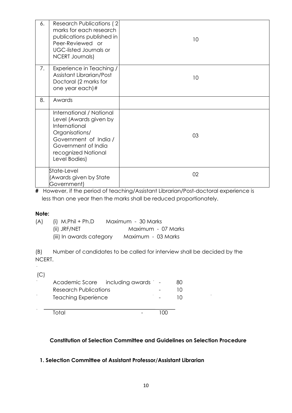| 6. | Research Publications (2)<br>marks for each research<br>publications published in<br>Peer-Reviewed or<br><b>UGC-listed Journals or</b><br><b>NCERT Journals)</b>              | 10              |
|----|-------------------------------------------------------------------------------------------------------------------------------------------------------------------------------|-----------------|
| 7. | Experience in Teaching /<br>Assistant Librarian/Post<br>Doctoral (2 marks for<br>one year each)#                                                                              | 10 <sup>°</sup> |
| 8. | Awards                                                                                                                                                                        |                 |
|    | International / National<br>Level (Awards given by<br>International<br>Organisations/<br>Government of India /<br>Government of India<br>recognized National<br>Level Bodies) | 03              |
|    | State-Level<br>(Awards given by State<br>Government)                                                                                                                          | 02              |

**#** However, if the period of teaching/Assistant Librarian/Post-doctoral experience is less than one year then the marks shall be reduced proportionately.

### **Note:**

| (A) | (i) $M.P\text{hil} + Ph.D$ | Maximum - 30 Marks |
|-----|----------------------------|--------------------|
|     | (ii) JRF/NET               | Maximum - 07 Marks |
|     | (iii) In awards category   | Maximum - 03 Marks |

(B) Number of candidates to be called for interview shall be decided by the NCERT.

 $(C)$ 

|                            | Academic Score including awards - | 80 |
|----------------------------|-----------------------------------|----|
| Research Publications      |                                   | 10 |
| <b>Teaching Experience</b> |                                   |    |
|                            |                                   |    |
| Total                      |                                   |    |

### **Constitution of Selection Committee and Guidelines on Selection Procedure**

### **1. Selection Committee of Assistant Professor/Assistant Librarian**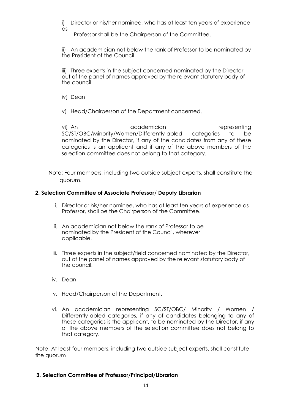i) Director or his/her nominee, who has at least ten years of experience as

Professor shall be the Chairperson of the Committee.

ii) An academician not below the rank of Professor to be nominated by the President of the Council

iii) Three experts in the subject concerned nominated by the Director out of the panel of names approved by the relevant statutory body of the council.

iv) Dean

v) Head/Chairperson of the Department concerned.

vi) An academician representing SC/ST/OBC/Minority/Women/Differently-abled categories to be nominated by the Director, if any of the candidates from any of these categories is an applicant and if any of the above members of the selection committee does not belong to that category.

Note: Four members, including two outside subject experts, shall constitute the quorum.

#### **2. Selection Committee of Associate Professor/ Deputy Librarian**

- i. Director or his/her nominee, who has at least ten years of experience as Professor, shall be the Chairperson of the Committee.
- ii. An academician not below the rank of Professor to be nominated by the President of the Council, wherever applicable.
- iii. Three experts in the subject/field concerned nominated by the Director, out of the panel of names approved by the relevant statutory body of the council.
- iv. Dean
- v. Head/Chairperson of the Department.
- vi. An academician representing SC/ST/OBC/ Minority / Women / Differently-abled categories, if any of candidates belonging to any of these categories is the applicant, to be nominated by the Director, if any of the above members of the selection committee does not belong to that category.

Note: At least four members, including two outside subject experts, shall constitute the quorum

### **3. Selection Committee of Professor/Principal/Librarian**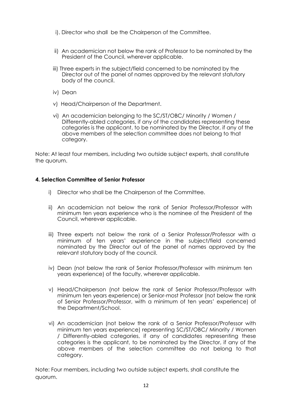- i). Director who shall be the Chairperson of the Committee.
- ii) An academician not below the rank of Professor to be nominated by the President of the Council, wherever applicable.
- iii) Three experts in the subject/field concerned to be nominated by the Director out of the panel of names approved by the relevant statutory body of the council.
- iv) Dean
- v) Head/Chairperson of the Department.
- vi) An academician belonging to the SC/ST/OBC/ Minority / Women / Differently-abled categories, if any of the candidates representing these categories is the applicant, to be nominated by the Director, if any of the above members of the selection committee does not belong to that category.

Note: At least four members, including two outside subject experts, shall constitute the quorum.

### **4. Selection Committee of Senior Professor**

- i) Director who shall be the Chairperson of the Committee.
- ii) An academician not below the rank of Senior Professor/Professor with minimum ten years experience who is the nominee of the President of the Council, wherever applicable.
- iii) Three experts not below the rank of a Senior Professor/Professor with a minimum of ten years' experience in the subject/field concerned nominated by the Director out of the panel of names approved by the relevant statutory body of the council.
- iv) Dean (not below the rank of Senior Professor/Professor with minimum ten years experience) of the faculty, wherever applicable.
- v) Head/Chairperson (not below the rank of Senior Professor/Professor with minimum ten years experience) or Senior-most Professor (not below the rank of Senior Professor/Professor, with a minimum of ten years' experience) of the Department/School.
- vi) An academician (not below the rank of a Senior Professor/Professor with minimum ten years experience) representing SC/ST/OBC/ Minority / Women / Differently-abled categories, if any of candidates representing these categories is the applicant, to be nominated by the Director, if any of the above members of the selection committee do not belong to that category.

Note: Four members, including two outside subject experts, shall constitute the quorum.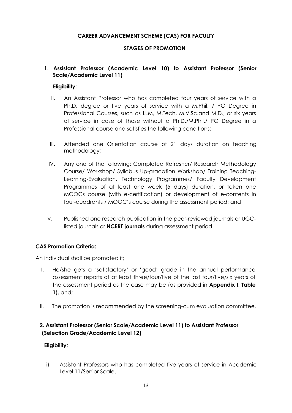### **CAREER ADVANCEMENT SCHEME (CAS) FOR FACULTY**

### **STAGES OF PROMOTION**

### **1. Assistant Professor (Academic Level 10) to Assistant Professor (Senior Scale/Academic Level 11)**

#### **Eligibility:**

- II. An Assistant Professor who has completed four years of service with a Ph.D. degree or five years of service with a M.Phil. / PG Degree in Professional Courses, such as LLM, M.Tech, M.V.Sc.and M.D., or six years of service in case of those without a Ph.D./M.Phil./ PG Degree in a Professional course and satisfies the following conditions:
- III. Attended one Orientation course of 21 days duration on teaching methodology;
- IV. Any one of the following: Completed Refresher/ Research Methodology Course/ Workshop/ Syllabus Up-gradation Workshop/ Training Teaching-Learning-Evaluation, Technology Programmes/ Faculty Development Programmes of at least one week (5 days) duration, or taken one MOOCs course (with e-certification) or development of e-contents in four-quadrants / MOOC's course during the assessment period; and
- V. Published one research publication in the peer-reviewed journals or UGClisted journals or **NCERT journals** during assessment period.

### **CAS Promotion Criteria:**

An individual shall be promoted if;

- I. He/she gets a 'satisfactory' or 'good' grade in the annual performance assessment reports of at least three/four/five of the last four/five/six years of the assessment period as the case may be (as provided in **Appendix I, Table 1**), and;
- II. The promotion is recommended by the screening-cum evaluation committee.

### **2. Assistant Professor (Senior Scale/Academic Level 11) to Assistant Professor (Selection Grade/Academic Level 12)**

### **Eligibility:**

i) Assistant Professors who has completed five years of service in Academic Level 11/Senior Scale.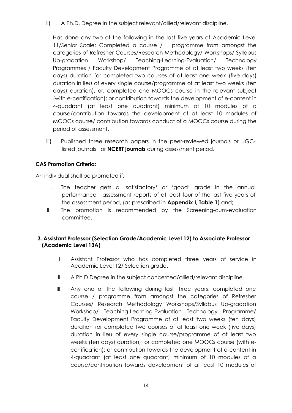ii) A Ph.D. Degree in the subject relevant/allied/relevant discipline.

Has done any two of the following in the last five years of Academic Level 11/Senior Scale: Completed a course / programme from amongst the categories of Refresher Courses/Research Methodology/ Workshops/ Syllabus Up-gradation Workshop/ Teaching-Learning-Evaluation/ Technology Programmes / Faculty Development Programme of at least two weeks (ten days) duration (or completed two courses of at least one week (five days) duration in lieu of every single course/programme of at least two weeks (ten days) duration), or, completed one MOOCs course in the relevant subject (with e-certification); or contribution towards the development of e-content in 4-quadrant (at least one quadrant) minimum of 10 modules of a course/contribution towards the development of at least 10 modules of MOOCs course/ contribution towards conduct of a MOOCs course during the period of assessment.

iii) Published three research papers in the peer-reviewed journals or UGClisted journals or **NCERT journals** during assessment period.

### **CAS Promotion Criteria:**

An individual shall be promoted if;

- I. The teacher gets a 'satisfactory' or 'good' grade in the annual performance assessment reports of at least four of the last five years of the assessment period, (as prescribed in **Appendix I, Table 1**) and;
- II. The promotion is recommended by the Screening-cum-evaluation committee.

### **3. Assistant Professor (Selection Grade/Academic Level 12) to Associate Professor (Academic Level 13A)**

- I. Assistant Professor who has completed three years of service in Academic Level 12/ Selection grade.
- II. A Ph.D Degree in the subject concerned/allied/relevant discipline.
- III. Any one of the following during last three years: completed one course / programme from amongst the categories of Refresher Courses/ Research Methodology Workshops/Syllabus Up-gradation Workshop/ Teaching-Learning-Evaluation Technology Programme/ Faculty Development Programme of at least two weeks (ten days) duration (or completed two courses of at least one week (five days) duration in lieu of every single course/programme of at least two weeks (ten days) duration); or completed one MOOCs course (with ecertification); or contribution towards the development of e-content in 4-quadrant (at least one quadrant) minimum of 10 modules of a course/contribution towards development of at least 10 modules of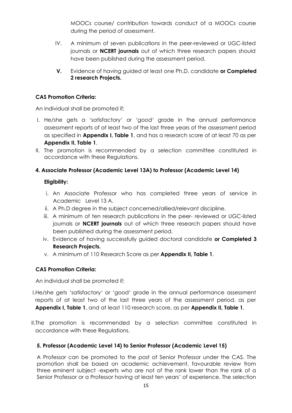MOOCs course/ contribution towards conduct of a MOOCs course during the period of assessment.

- IV. A minimum of seven publications in the peer-reviewed or UGC-listed journals or **NCERT journals** out of which three research papers should have been published during the assessment period.
- **V.** Evidence of having guided at least one Ph.D. candidate **or Completed 2 research Projects.**

### **CAS Promotion Criteria:**

An individual shall be promoted if;

- I. He/she gets a 'satisfactory' or 'good' grade in the annual performance assessment reports of at least two of the last three years of the assessment period as specified in **Appendix I, Table 1**, and has a research score of at least 70 as per **Appendix II, Table 1**.
- II. The promotion is recommended by a selection committee constituted in accordance with these Regulations.

### **4. Associate Professor (Academic Level 13A) to Professor (Academic Level 14)**

### **Eligibility:**

- i. An Associate Professor who has completed three years of service in Academic Level 13 A.
- ii. A Ph.D degree in the subject concerned/allied/relevant discipline.
- iii. A minimum of ten research publications in the peer- reviewed or UGC-listed journals or **NCERT journals** out of which three research papers should have been published during the assessment period.
- iv. Evidence of having successfully guided doctoral candidate **or Completed 3 Research Projects.**
- v. A minimum of 110 Research Score as per **Appendix II, Table 1**.

### **CAS Promotion Criteria:**

An individual shall be promoted if;

- I.He/she gets 'satisfactory' or 'good' grade in the annual performance assessment reports of at least two of the last three years of the assessment period, as per **Appendix I, Table 1**, and at least 110 research score, as per **Appendix II, Table 1**.
- II.The promotion is recommended by a selection committee constituted in accordance with these Regulations.

### **5. Professor (Academic Level 14) to Senior Professor (Academic Level 15)**

A Professor can be promoted to the post of Senior Professor under the CAS. The promotion shall be based on academic achievement, favourable review from three eminent subject -experts who are not of the rank lower than the rank of a Senior Professor or a Professor having at least ten years' of experience. The selection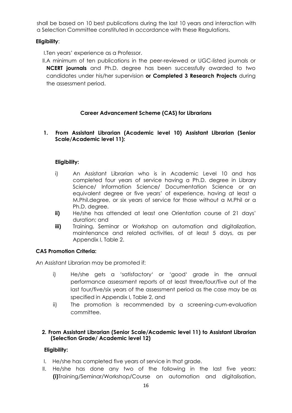shall be based on 10 best publications during the last 10 years and interaction with a Selection Committee constituted in accordance with these Regulations.

### **Eligibility**:

- I.Ten years' experience as a Professor.
- II.A minimum of ten publications in the peer-reviewed or UGC-listed journals or **NCERT journals** and Ph.D. degree has been successfully awarded to two candidates under his/her supervision **or Completed 3 Research Projects** during the assessment period.

### **Career Advancement Scheme (CAS) for Librarians**

#### **1. From Assistant Librarian (Academic level 10) Assistant Librarian (Senior Scale/Academic level 11):**

### **Eligibility:**

- i) An Assistant Librarian who is in Academic Level 10 and has completed four years of service having a Ph.D. degree in Library Science/ Information Science/ Documentation Science or an equivalent degree or five years' of experience, having at least a M.Phil.degree, or six years of service for those without a M.Phil or a Ph.D. degree.
- **ii)** He/she has attended at least one Orientation course of 21 days' duration; and
- **iii)** Training, Seminar or Workshop on automation and digitalization, maintenance and related activities, of at least 5 days, as per Appendix I, Table 2.

### **CAS Promotion Criteria:**

An Assistant Librarian may be promoted if:

- i) He/she gets a 'satisfactory' or 'good' grade in the annual performance assessment reports of at least three/four/five out of the last four/five/six years of the assessment period as the case may be as specified in Appendix I, Table 2, and
- ii) The promotion is recommended by a screening-cum-evaluation committee.

### **2. From Assistant Librarian (Senior Scale/Academic level 11) to Assistant Librarian (Selection Grade/ Academic level 12)**

### **Eligibility:**

- I. He/she has completed five years of service in that grade.
- II. He/she has done any two of the following in the last five years: **(i)**Training/Seminar/Workshop/Course on automation and digitalisation,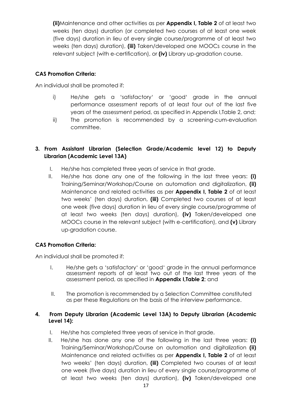**(ii)**Maintenance and other activities as per **Appendix I, Table 2** of at least two weeks (ten days) duration (or completed two courses of at least one week (five days) duration in lieu of every single course/programme of at least two weeks (ten days) duration), **(iii)** Taken/developed one MOOCs course in the relevant subject (with e-certification), or **(iv)** Library up-gradation course.

### **CAS Promotion Criteria:**

An individual shall be promoted if:

- i) He/she gets a 'satisfactory' or 'good' grade in the annual performance assessment reports of at least four out of the last five years of the assessment period, as specified in Appendix I,Table 2, and;
- ii) The promotion is recommended by a screening-cum-evaluation committee.

### **3. From Assistant Librarian (Selection Grade/Academic level 12) to Deputy Librarian (Academic Level 13A)**

- I. He/she has completed three years of service in that grade.
- II. He/she has done any one of the following in the last three years: **(i)**  Training/Seminar/Workshop/Course on automation and digitalization, **(ii)**  Maintenance and related activities as per **Appendix I, Table 2** of at least two weeks' (ten days) duration, **(iii)** Completed two courses of at least one week (five days) duration in lieu of every single course/programme of at least two weeks (ten days) duration), **(iv)** Taken/developed one MOOCs course in the relevant subject (with e-certification), and **(v)** Library up-gradation course.

### **CAS Promotion Criteria:**

An individual shall be promoted if:

- I. He/she gets a 'satisfactory' or 'good' grade in the annual performance assessment reports of at least two out of the last three years of the assessment period, as specified in **Appendix I,Table 2**; and
- II. The promotion is recommended by a Selection Committee constituted as per these Regulations on the basis of the interview performance.

### **4. From Deputy Librarian (Academic Level 13A) to Deputy Librarian (Academic Level 14):**

- I. He/she has completed three years of service in that grade.
- II. He/she has done any one of the following in the last three years: **(i)**  Training/Seminar/Workshop/Course on automation and digitalization **(ii)**  Maintenance and related activities as per **Appendix I, Table 2** of at least two weeks' (ten days) duration, **(iii)** Completed two courses of at least one week (five days) duration in lieu of every single course/programme of at least two weeks (ten days) duration), **(iv)** Taken/developed one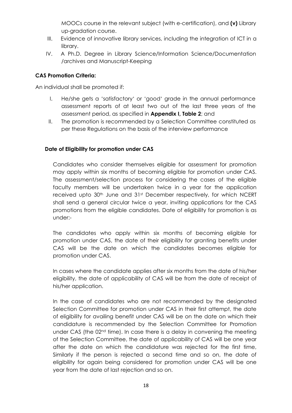MOOCs course in the relevant subject (with e-certification), and **(v)** Library up-gradation course.

- III. Evidence of innovative library services, including the integration of ICT in a library.
- IV. A Ph.D. Degree in Library Science/Information Science/Documentation /archives and Manuscript-Keeping

### **CAS Promotion Criteria:**

An individual shall be promoted if:

- I. He/she gets a 'satisfactory' or 'good' grade in the annual performance assessment reports of at least two out of the last three years of the assessment period, as specified in **Appendix I, Table 2**; and
- II. The promotion is recommended by a Selection Committee constituted as per these Regulations on the basis of the interview performance

### **Date of Eligibility for promotion under CAS**

Candidates who consider themselves eligible for assessment for promotion may apply within six months of becoming eligible for promotion under CAS. The assessment/selection process for considering the cases of the eligible faculty members will be undertaken twice in a year for the application received upto 30<sup>th</sup> June and 31<sup>st</sup> December respectively, for which NCERT shall send a general circular twice a year, inviting applications for the CAS promotions from the eligible candidates. Date of eligibility for promotion is as under:-

The candidates who apply within six months of becoming eligible for promotion under CAS, the date of their eligibility for granting benefits under CAS will be the date on which the candidates becomes eligible for promotion under CAS.

In cases where the candidate applies after six months from the date of his/her eligibility, the date of applicability of CAS will be from the date of receipt of his/her application.

In the case of candidates who are not recommended by the designated Selection Committee for promotion under CAS in their first attempt, the date of eligibility for availing benefit under CAS will be on the date on which their candidature is recommended by the Selection Committee for Promotion under CAS (the  $02<sup>nd</sup>$  time). In case there is a delay in convening the meeting of the Selection Committee, the date of applicability of CAS will be one year after the date on which the candidature was rejected for the first time, Similarly if the person is rejected a second time and so on, the date of eligibility for again being considered for promotion under CAS will be one year from the date of last rejection and so on.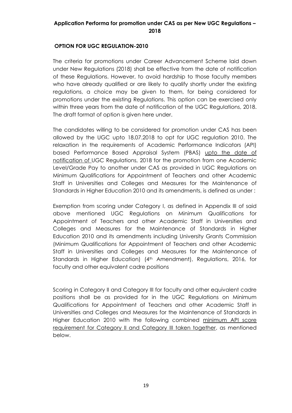### **Application Performa for promotion under CAS as per New UGC Regulations – 2018**

### **OPTION FOR UGC REGULATION-2010**

The criteria for promotions under Career Advancement Scheme laid down under New Regulations (2018) shall be effective from the date of notification of these Regulations. However, to avoid hardship to those faculty members who have already qualified or are likely to qualify shortly under the existing regulations, a choice may be given to them, for being considered for promotions under the existing Regulations. This option can be exercised only within three years from the date of notification of the UGC Regulations, 2018. The draft format of option is given here under.

The candidates willing to be considered for promotion under CAS has been allowed by the UGC upto 18.07.2018 to opt for UGC regulation 2010. The relaxation in the requirements of Academic Performance Indicators (API) based Performance Based Appraisal System (PBAS) upto the date of notification of UGC Regulations, 2018 for the promotion from one Academic Level/Grade Pay to another under CAS as provided in UGC Regulations on Minimum Qualifications for Appointment of Teachers and other Academic Staff in Universities and Colleges and Measures for the Maintenance of Standards in Higher Education 2010 and its amendments, is defined as under :

Exemption from scoring under Category I, as defined in Appendix III of said above mentioned UGC Regulations on Minimum Qualifications for Appointment of Teachers and other Academic Staff in Universities and Colleges and Measures for the Maintenance of Standards in Higher Education 2010 and its amendments including University Grants Commission (Minimum Qualifications for Appointment of Teachers and other Academic Staff in Universities and Colleges and Measures for the Maintenance of Standards in Higher Education) (4<sup>th</sup> Amendment), Regulations, 2016, for faculty and other equivalent cadre positions

Scoring in Category II and Category III for faculty and other equivalent cadre positions shall be as provided for in the UGC Regulations on Minimum Qualifications for Appointment of Teachers and other Academic Staff in Universities and Colleges and Measures for the Maintenance of Standards in Higher Education 2010 with the following combined minimum API score requirement for Category II and Category III taken together, as mentioned below.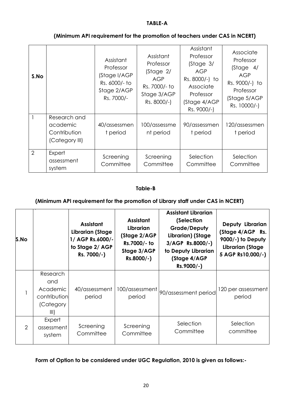#### **TABLE-A**

| S.No           |                                                            | Assistant<br>Professor<br>(Stage I/AGP<br>Rs. 6000/- to<br>Stage 2/AGP<br>Rs. 7000/- | Assistant<br>Professor<br>(Stage 2/<br><b>AGP</b><br>Rs. 7000/- to<br>Stage 3/AGP<br>Rs. 8000/-) | Assistant<br>Professor<br>(Stage 3/<br>AGP<br>Rs. 8000/-) to<br>Associate<br>Professor<br>(Stage 4/AGP<br>Rs. 9000/-) | Associate<br>Professor<br>(Stage 4/<br>AGP<br>Rs. 9000/-) to<br>Professor<br>(Stage 5/AGP<br>Rs. 10000/-) |
|----------------|------------------------------------------------------------|--------------------------------------------------------------------------------------|--------------------------------------------------------------------------------------------------|-----------------------------------------------------------------------------------------------------------------------|-----------------------------------------------------------------------------------------------------------|
|                | Research and<br>academic<br>Contribution<br>(Category III) | 40/assessmen<br>t period                                                             | 100/assessme<br>nt period                                                                        | 90/assessmen<br>t period                                                                                              | 120/assessmen<br>t period                                                                                 |
| $\overline{2}$ | Expert<br>assessment<br>system                             | Screening<br>Committee                                                               | Screening<br>Committee                                                                           | Selection<br>Committee                                                                                                | Selection<br>Committee                                                                                    |

### **(Minimum API requirement for the promotion of teachers under CAS in NCERT)**

#### **Table-B**

#### **(Minimum API requirement for the promotion of Library staff under CAS in NCERT)**

| S.No           |                                                                  | <b>Assistant</b><br>Librarian (Stage<br>1/ AGP Rs.6000/-<br>to Stage 2/ AGP<br>Rs. 7000/-) | <b>Assistant</b><br>Librarian<br>(Stage 2/AGP<br>Rs.7000/- to<br>Stage 3/AGP<br>Rs.8000/-) | <b>Assistant Librarian</b><br>(Selection<br><b>Grade/Deputy</b><br>Librarian) (Stage<br>3/AGP Rs.8000/-)<br>to Deputy Librarian<br>(Stage 4/AGP<br>Rs.9000/-) | Deputy Librarian<br>(Stage 4/AGP Rs.<br>9000/-) to Deputy<br>Librarian (Stage<br>5 AGP Rs10,000/-) |
|----------------|------------------------------------------------------------------|--------------------------------------------------------------------------------------------|--------------------------------------------------------------------------------------------|---------------------------------------------------------------------------------------------------------------------------------------------------------------|----------------------------------------------------------------------------------------------------|
|                | Research<br>and<br>Academic<br>contribution<br>(Category<br>III) | 40/assessment<br>period                                                                    | 100/assessment<br>period                                                                   | 90/assessment period                                                                                                                                          | 120 per assessment<br>period                                                                       |
| $\overline{2}$ | Expert<br>assessment<br>system                                   | Screening<br>Committee                                                                     | Screening<br>Committee                                                                     | Selection<br>Committee                                                                                                                                        | Selection<br>committee                                                                             |

# **Form of Option to be considered under UGC Regulation, 2010 is given as follows:-**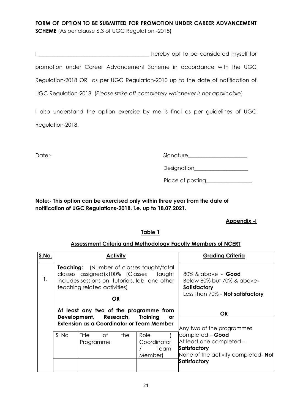# **FORM OF OPTION TO BE SUBMITTED FOR PROMOTION UNDER CAREER ADVANCEMENT SCHEME** (As per clause 6.3 of UGC Regulation -2018)

|                                                                                 | hereby opt to be considered myself for |
|---------------------------------------------------------------------------------|----------------------------------------|
| promotion under Career Advancement Scheme in accordance with the UGC            |                                        |
| Regulation-2018 OR as per UGC Regulation-2010 up to the date of notification of |                                        |
| UGC Regulation-2018. (Please strike off completely whichever is not applicable) |                                        |

I also understand the option exercise by me is final as per guidelines of UGC Regulation-2018.

Date:- example and the signature signature signature and signature and signature and signature and signature and  $S(\text{grad} \omega)$ 

| Designation |  |
|-------------|--|
|             |  |

Place of posting\_\_\_\_\_\_\_\_\_\_\_\_\_\_\_\_\_

**Note:- This option can be exercised only within three year from the date of notification of UGC Regulations-2018. i.e. up to 18.07.2021.**

### **Appendix -I**

### **Table 1**

### **Assessment Criteria and Methodology Faculty Members of NCERT**

| S.No. | <b>Activity</b>                                                                                                                                                             |                          |     | <b>Grading Criteria</b>                 |                                                                                                                            |
|-------|-----------------------------------------------------------------------------------------------------------------------------------------------------------------------------|--------------------------|-----|-----------------------------------------|----------------------------------------------------------------------------------------------------------------------------|
| 1.    | <b>Teaching:</b> (Number of classes taught/total<br>classes assigned)x100% (Classes taught<br>includes sessions on tutorials, lab and other<br>teaching related activities) |                          |     |                                         | 80% & above - <b>Good</b><br>Below 80% but 70% & above-<br>Satisfactory                                                    |
|       | <b>OR</b>                                                                                                                                                                   |                          |     | Less than 70% - <b>Not satisfactory</b> |                                                                                                                            |
|       | At least any two of the programme from<br>Development, Research, Training<br><b>or</b><br><b>Extension as a Coordinator or Team Member</b>                                  |                          |     | <b>OR</b><br>Any two of the programmes  |                                                                                                                            |
|       | SI No                                                                                                                                                                       | Title<br>0f<br>Programme | the | Role<br>Coordinator<br>Team<br>Member)  | completed - Good<br>At least one completed -<br>Satisfactory<br>None of the activity completed- Not<br><b>Satisfactory</b> |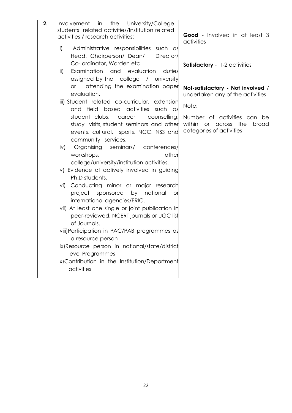| 2. | Involvement in<br>the<br>University/College                                                                                 |                                                                                             |
|----|-----------------------------------------------------------------------------------------------------------------------------|---------------------------------------------------------------------------------------------|
|    | students related activities/Institution related<br>activities / research activities:                                        | Good - Involved in at least 3                                                               |
|    |                                                                                                                             | activities                                                                                  |
|    | Administrative responsibilities such as<br>i)                                                                               |                                                                                             |
|    | Head, Chairperson/ Dean/<br>Director/                                                                                       |                                                                                             |
|    | Co- ordinator, Warden etc.                                                                                                  | <b>Satisfactory</b> - 1-2 activities                                                        |
|    | Examination and evaluation<br>duties<br>$\mathsf{ii}$                                                                       |                                                                                             |
|    | assigned by the college / university<br>attending the examination paper<br>or                                               |                                                                                             |
|    | evaluation.                                                                                                                 | Not-satisfactory - Not involved /<br>undertaken any of the activities                       |
|    | iii) Student related co-curricular, extension<br>based activities<br>and field<br>such as                                   | Note:                                                                                       |
|    | student clubs, career<br>counselling,<br>study visits, student seminars and other<br>events, cultural, sports, NCC, NSS and | Number of activities can be<br>within<br>or across the<br>broad<br>categories of activities |
|    | community services.<br>Organising seminars/ conferences/<br>iv)<br>other<br>workshops,                                      |                                                                                             |
|    | college/university/institution activities.<br>v) Evidence of actively involved in guiding<br>Ph.D students.                 |                                                                                             |
|    | Conducting minor or major research<br>vi)<br>project sponsored by national<br><b>or</b><br>international agencies/ERIC.     |                                                                                             |
|    | vii) At least one single or joint publication in<br>peer-reviewed, NCERT journals or UGC list<br>of Journals.               |                                                                                             |
|    | viii) Participation in PAC/PAB programmes as<br>a resource person                                                           |                                                                                             |
|    | ix)Resource person in national/state/district                                                                               |                                                                                             |
|    | level Programmes                                                                                                            |                                                                                             |
|    | x)Contribution in the Institution/Department<br>activities                                                                  |                                                                                             |
|    |                                                                                                                             |                                                                                             |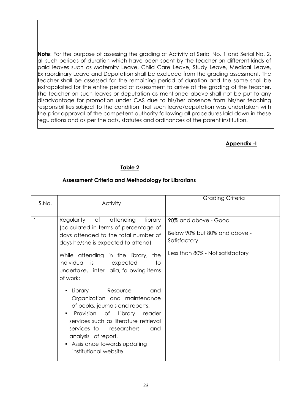**Note**: For the purpose of assessing the grading of Activity at Serial No. 1 and Serial No. 2, all such periods of duration which have been spent by the teacher on different kinds of paid leaves such as Maternity Leave, Child Care Leave, Study Leave, Medical Leave, Extraordinary Leave and Deputation shall be excluded from the grading assessment. The teacher shall be assessed for the remaining period of duration and the same shall be extrapolated for the entire period of assessment to arrive at the grading of the teacher. The teacher on such leaves or deputation as mentioned above shall not be put to any disadvantage for promotion under CAS due to his/her absence from his/her teaching responsibilities subject to the condition that such leave/deputation was undertaken with the prior approval of the competent authority following all procedures laid down in these regulations and as per the acts, statutes and ordinances of the parent institution.

### **Appendix -I**

### **Table 2**

### **Assessment Criteria and Methodology for Librarians**

| S.No. | <b>Activity</b>                                                                                                                                                                                                                                                                                                                                                                                                                                                                                                                                                                                       | <b>Grading Criteria</b>                                                                                   |
|-------|-------------------------------------------------------------------------------------------------------------------------------------------------------------------------------------------------------------------------------------------------------------------------------------------------------------------------------------------------------------------------------------------------------------------------------------------------------------------------------------------------------------------------------------------------------------------------------------------------------|-----------------------------------------------------------------------------------------------------------|
|       | Regularity of attending<br>library<br>(calculated in terms of percentage of<br>days attended to the total number of<br>days he/she is expected to attend)<br>While attending in the library,<br>the<br>individual is<br>expected<br>to<br>undertake, inter alia, following items<br>of work:<br>Library<br>Resource<br>and<br>٠<br>Organization and maintenance<br>of books, journals and reports.<br>Provision of Library<br>reader<br>٠<br>services such as literature retrieval<br>services to researchers<br>and<br>analysis of report.<br>• Assistance towards updating<br>institutional website | 90% and above - Good<br>Below 90% but 80% and above -<br>Satisfactory<br>Less than 80% - Not satisfactory |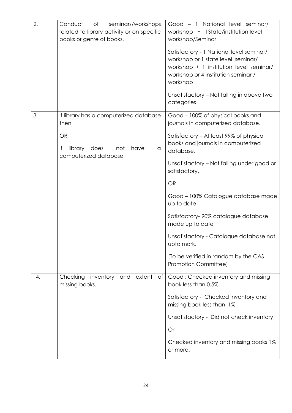| 2. | Conduct<br>of<br>seminars/workshops<br>related to library activity or on specific<br>books or genre of books.                     | Good - 1 National level seminar/<br>workshop + 1State/institution level<br>workshop/Seminar<br>Satisfactory - 1 National level seminar/<br>workshop or 1 state level seminar/<br>workshop + 1 institution level seminar/<br>workshop or 4 institution seminar /<br>workshop<br>Unsatisfactory - Not falling in above two<br>categories                                                                                                                                                    |
|----|-----------------------------------------------------------------------------------------------------------------------------------|-------------------------------------------------------------------------------------------------------------------------------------------------------------------------------------------------------------------------------------------------------------------------------------------------------------------------------------------------------------------------------------------------------------------------------------------------------------------------------------------|
| 3. | If library has a computerized database<br>then<br><b>OR</b><br>lf<br>library<br>does<br>not<br>have<br>a<br>computerized database | Good - 100% of physical books and<br>journals in computerized database.<br>Satisfactory - At least 99% of physical<br>books and journals in computerized<br>database.<br>Unsatisfactory - Not falling under good or<br>satisfactory.<br><b>OR</b><br>Good - 100% Catalogue database made<br>up to date<br>Satisfactory-90% catalogue database<br>made up to date<br>Unsatisfactory - Catalogue database not<br>upto mark.<br>(To be verified in random by the CAS<br>Promotion Committee) |
| 4. | Checking<br>and extent<br>inventory<br>of<br>missing books.                                                                       | Good: Checked inventory and missing<br>book less than 0.5%<br>Satisfactory - Checked inventory and<br>missing book less than 1%<br>Unsatisfactory - Did not check inventory<br>Or<br>Checked inventory and missing books 1%<br>or more.                                                                                                                                                                                                                                                   |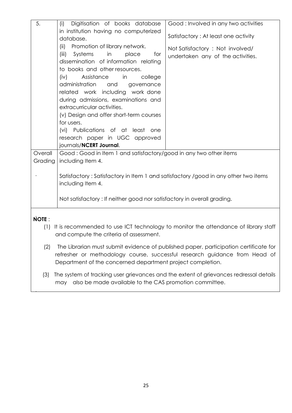| 5.           | Digitisation of books database<br>(i)                                              | Good: Involved in any two activities                                                 |
|--------------|------------------------------------------------------------------------------------|--------------------------------------------------------------------------------------|
|              | in institution having no computerized<br>database.                                 | Satisfactory: At least one activity                                                  |
|              | Promotion of library network.<br>(ii)                                              |                                                                                      |
|              | (iii)<br>Systems<br>in<br>place<br>for                                             | Not Satisfactory : Not involved/<br>undertaken any of the activities.                |
|              | dissemination of information relating                                              |                                                                                      |
|              | to books and other resources.                                                      |                                                                                      |
|              | Assistance<br>(iv)<br>in<br>college<br>administration<br>and<br>governance         |                                                                                      |
|              | related work including work done                                                   |                                                                                      |
|              | during admissions, examinations and                                                |                                                                                      |
|              | extracurricular activities.                                                        |                                                                                      |
|              | (v) Design and offer short-term courses<br>for users.                              |                                                                                      |
|              | (vi) Publications of at least one                                                  |                                                                                      |
|              | research paper in UGC approved                                                     |                                                                                      |
|              | journals/NCERT Journal.                                                            |                                                                                      |
| Overall      | Good: Good in Item 1 and satisfactory/good in any two other items                  |                                                                                      |
| Grading      | including Item 4.                                                                  |                                                                                      |
|              | Satisfactory: Satisfactory in Item 1 and satisfactory /good in any other two items |                                                                                      |
|              | including Item 4.                                                                  |                                                                                      |
|              | Not satisfactory: If neither good nor satisfactory in overall grading.             |                                                                                      |
|              |                                                                                    |                                                                                      |
| <b>NOTE:</b> |                                                                                    |                                                                                      |
| (1)          |                                                                                    | It is recommended to use ICT technology to monitor the attendance of library staff   |
|              | and compute the criteria of assessment.                                            |                                                                                      |
| (2)          |                                                                                    | The Librarian must submit evidence of published paper, participation certificate for |
|              |                                                                                    | refresher or methodology course, successful research guidance from Head of           |

(3) The system of tracking user grievances and the extent of grievances redressal details may also be made available to the CAS promotion committee.

Department of the concerned department project completion.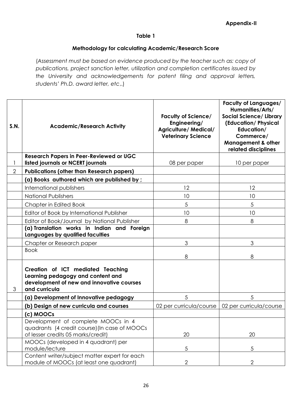### **Table 1**

### **Methodology for calculating Academic/Research Score**

(*Assessment must be based on evidence produced by the teacher such as: copy of publications, project sanction letter, utilization and completion certificates issued by the University and acknowledgements for patent filing and approval letters, students' Ph.D. award letter, etc*,.)

| S.N.           | <b>Academic/Research Activity</b>                                                                                                    | <b>Faculty of Science/</b><br>Engineering/<br><b>Agriculture/ Medical/</b><br><b>Veterinary Science</b> | <b>Faculty of Languages/</b><br>Humanities/Arts/<br><b>Social Science/ Library</b><br>(Education/Physical<br>Education/<br>Commerce/<br><b>Management &amp; other</b><br>related disciplines |
|----------------|--------------------------------------------------------------------------------------------------------------------------------------|---------------------------------------------------------------------------------------------------------|----------------------------------------------------------------------------------------------------------------------------------------------------------------------------------------------|
|                | <b>Research Papers in Peer-Reviewed or UGC</b><br>listed journals or NCERT journals                                                  | 08 per paper                                                                                            | 10 per paper                                                                                                                                                                                 |
| $\overline{2}$ | <b>Publications (other than Research papers)</b>                                                                                     |                                                                                                         |                                                                                                                                                                                              |
|                | (a) Books authored which are published by ;                                                                                          |                                                                                                         |                                                                                                                                                                                              |
|                | International publishers                                                                                                             | 12                                                                                                      | 12                                                                                                                                                                                           |
|                | <b>National Publishers</b>                                                                                                           | 10                                                                                                      | 10                                                                                                                                                                                           |
|                | Chapter in Edited Book                                                                                                               | 5                                                                                                       | 5                                                                                                                                                                                            |
|                | Editor of Book by International Publisher                                                                                            | 10                                                                                                      | 10                                                                                                                                                                                           |
|                | Editor of Book/Journal by National Publisher                                                                                         | 8                                                                                                       | 8                                                                                                                                                                                            |
|                | (a) Translation works in Indian and Foreign<br>Languages by qualified faculties                                                      |                                                                                                         |                                                                                                                                                                                              |
|                | Chapter or Research paper                                                                                                            | 3                                                                                                       | 3                                                                                                                                                                                            |
|                | <b>Book</b>                                                                                                                          | 8                                                                                                       | 8                                                                                                                                                                                            |
| 3              | Creation of ICT mediated Teaching<br>Learning pedagogy and content and<br>development of new and innovative courses<br>and curricula |                                                                                                         |                                                                                                                                                                                              |
|                | (a) Development of Innovative pedagogy                                                                                               | 5                                                                                                       | 5                                                                                                                                                                                            |
|                | (b) Design of new curricula and courses                                                                                              | 02 per curricula/course                                                                                 | 02 per curricula/course                                                                                                                                                                      |
|                | (c) MOOCs                                                                                                                            |                                                                                                         |                                                                                                                                                                                              |
|                | Development of complete MOOCs in 4<br>quadrants (4 credit course) (In case of MOOCs<br>of lesser credits 05 marks/credit)            | 20                                                                                                      | 20                                                                                                                                                                                           |
|                | MOOCs (developed in 4 quadrant) per<br>module/lecture                                                                                | $\sqrt{5}$                                                                                              | 5                                                                                                                                                                                            |
|                | Content writer/subject matter expert for each<br>module of MOOCs (at least one quadrant)                                             | $\overline{2}$                                                                                          | $\overline{2}$                                                                                                                                                                               |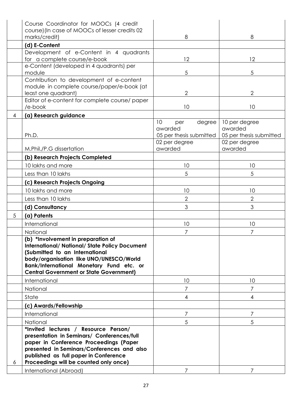|   | Course Coordinator for MOOCs (4 credit                                                                                                                                                                                                                                 |                                                           |                                                     |
|---|------------------------------------------------------------------------------------------------------------------------------------------------------------------------------------------------------------------------------------------------------------------------|-----------------------------------------------------------|-----------------------------------------------------|
|   | course) (In case of MOOCs of lesser credits 02<br>marks/credit)                                                                                                                                                                                                        | 8                                                         | 8                                                   |
|   | (d) E-Content                                                                                                                                                                                                                                                          |                                                           |                                                     |
|   | Development of e-Content in 4 quadrants                                                                                                                                                                                                                                |                                                           |                                                     |
|   | for a complete course/e-book                                                                                                                                                                                                                                           | 12                                                        | 12                                                  |
|   | e-Content (developed in 4 quadrants) per<br>module                                                                                                                                                                                                                     | 5                                                         | 5                                                   |
|   | Contribution to development of e-content<br>module in complete course/paper/e-book (at<br>least one quadrant)                                                                                                                                                          | 2                                                         | 2                                                   |
|   | Editor of e-content for complete course/ paper<br>/e-book                                                                                                                                                                                                              | 10                                                        | 10                                                  |
| 4 | (a) Research guidance                                                                                                                                                                                                                                                  |                                                           |                                                     |
|   | Ph.D.                                                                                                                                                                                                                                                                  | 10<br>degree<br>per<br>awarded<br>05 per thesis submitted | 10 per degree<br>awarded<br>05 per thesis submitted |
|   | M.Phil./P.G dissertation                                                                                                                                                                                                                                               | 02 per degree<br>awarded                                  | 02 per degree<br>awarded                            |
|   | (b) Research Projects Completed                                                                                                                                                                                                                                        |                                                           |                                                     |
|   | 10 lakhs and more                                                                                                                                                                                                                                                      | 10                                                        | 10                                                  |
|   | Less than 10 lakhs                                                                                                                                                                                                                                                     | 5                                                         | 5                                                   |
|   | (c) Research Projects Ongoing                                                                                                                                                                                                                                          |                                                           |                                                     |
|   | 10 lakhs and more                                                                                                                                                                                                                                                      | 10                                                        | 10                                                  |
|   | Less than 10 lakhs                                                                                                                                                                                                                                                     | $\overline{2}$                                            | $\overline{2}$                                      |
|   | (d) Consultancy                                                                                                                                                                                                                                                        | 3                                                         | 3                                                   |
| 5 | (a) Patents                                                                                                                                                                                                                                                            |                                                           |                                                     |
|   | International                                                                                                                                                                                                                                                          | 10                                                        | 10                                                  |
|   | National                                                                                                                                                                                                                                                               | 7                                                         | 7                                                   |
|   | (b) *Involvement in preparation of<br><b>International/ National/ State Policy Document</b><br>(Submitted to an International<br>body/organisation like UNO/UNESCO/World<br>Bank/International Monetary Fund etc. or<br><b>Central Government or State Government)</b> |                                                           |                                                     |
|   | International                                                                                                                                                                                                                                                          | 10                                                        | 10                                                  |
|   | National                                                                                                                                                                                                                                                               | 7                                                         | 7                                                   |
|   | State                                                                                                                                                                                                                                                                  | 4                                                         | 4                                                   |
|   | (c) Awards/Fellowship                                                                                                                                                                                                                                                  |                                                           |                                                     |
|   | International                                                                                                                                                                                                                                                          | 7                                                         | $\overline{7}$                                      |
|   | National                                                                                                                                                                                                                                                               | 5                                                         | 5                                                   |
|   | *Invited lectures / Resource Person/<br>presentation in Seminars/ Conferences/full<br>paper in Conference Proceedings (Paper<br>presented in Seminars/Conferences and also<br>published as full paper in Conference                                                    |                                                           |                                                     |
| 6 | Proceedings will be counted only once)                                                                                                                                                                                                                                 | 7                                                         |                                                     |
|   | International (Abroad)                                                                                                                                                                                                                                                 |                                                           |                                                     |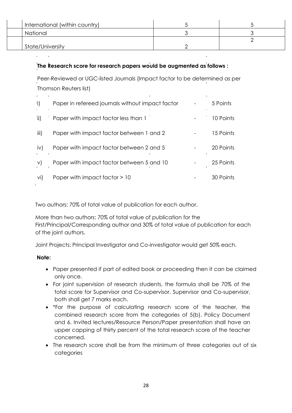| International (within country) |  |
|--------------------------------|--|
| National                       |  |
|                                |  |
| State/University               |  |

# **The Research score for research papers would be augmented as follows :**

Peer-Reviewed or UGC-listed Journals (Impact factor to be determined as per Thomson Reuters list)

| -i)           | Paper in refereed journals without impact factor | 5 Points  |
|---------------|--------------------------------------------------|-----------|
| $\mathsf{ii}$ | Paper with impact factor less than 1             | 10 Points |
| iii)          | Paper with impact factor between 1 and 2         | 15 Points |
| iv)           | Paper with impact factor between 2 and 5         | 20 Points |
| V)            | Paper with impact factor between 5 and 10        | 25 Points |
| $\vee$ i)     | Paper with impact factor > 10                    | 30 Points |

Two authors: 70% of total value of publication for each author.

More than two authors: 70% of total value of publication for the First/Principal/Corresponding author and 30% of total value of publication for each of the joint authors.

Joint Projects: Principal Investigator and Co-investigator would get 50% each.

### **Note:**

- Paper presented if part of edited book or proceeding then it can be claimed only once.
- For joint supervision of research students, the formula shall be 70% of the total score for Supervisor and Co-supervisor. Supervisor and Co-supervisor, both shall get 7 marks each.
- \*For the purpose of calculating research score of the teacher, the combined research score from the categories of 5(b). Policy Document and 6. Invited lectures/Resource Person/Paper presentation shall have an upper capping of thirty percent of the total research score of the teacher concerned.
- The research score shall be from the minimum of three categories out of six categories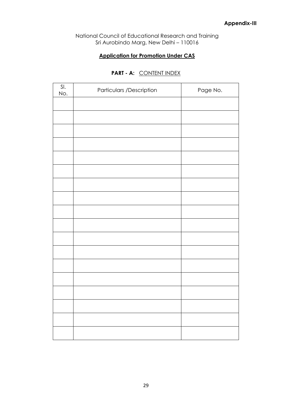National Council of Educational Research and Training Sri Aurobindo Marg, New Delhi – 110016

### **Application for Promotion Under CAS**

| SI.<br>No. | Particulars /Description | Page No. |
|------------|--------------------------|----------|
|            |                          |          |
|            |                          |          |
|            |                          |          |
|            |                          |          |
|            |                          |          |
|            |                          |          |
|            |                          |          |
|            |                          |          |
|            |                          |          |
|            |                          |          |
|            |                          |          |
|            |                          |          |
|            |                          |          |
|            |                          |          |
|            |                          |          |
|            |                          |          |
|            |                          |          |
|            |                          |          |

### **PART - A:** CONTENT INDEX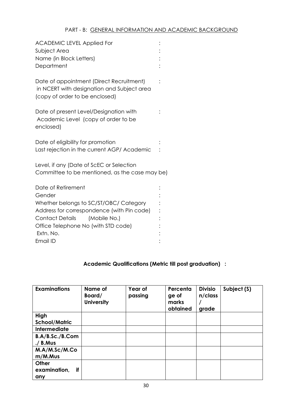| <b>ACADEMIC LEVEL Applied For</b><br>Subject Area<br>Name (in Block Letters)<br>Department                               |  |
|--------------------------------------------------------------------------------------------------------------------------|--|
| Date of appointment (Direct Recruitment)<br>in NCERT with designation and Subject area<br>(copy of order to be enclosed) |  |
| Date of present Level/Designation with<br>Academic Level (copy of order to be<br>enclosed)                               |  |
| Date of eligibility for promotion<br>Last rejection in the current AGP/ Academic                                         |  |
| Level, if any (Date of ScEC or Selection<br>Committee to be mentioned, as the case may be)                               |  |
| Date of Retirement<br>Gender                                                                                             |  |
| Whether belongs to SC/ST/OBC/ Category                                                                                   |  |
| Address for correspondence (with Pin code)                                                                               |  |
| <b>Contact Details</b><br>(Mobile No.)                                                                                   |  |
| Office Telephone No (with STD code)                                                                                      |  |
| Extn. No.                                                                                                                |  |
| Email ID                                                                                                                 |  |

# **Academic Qualifications (Metric till post graduation) :**

| <b>Examinations</b>                | Name of<br>Board/<br><b>University</b> | Year of<br>passing | Percenta<br>ge of<br>marks<br>obtained | <b>Divisio</b><br>$n$ /class<br>grade | Subject (S) |
|------------------------------------|----------------------------------------|--------------------|----------------------------------------|---------------------------------------|-------------|
| High                               |                                        |                    |                                        |                                       |             |
| <b>School/Matric</b>               |                                        |                    |                                        |                                       |             |
| <b>Intermediate</b>                |                                        |                    |                                        |                                       |             |
| B.A/B.Sc./B.Com<br>$./$ B.Mus      |                                        |                    |                                        |                                       |             |
| M.A/M.Sc/M.Co<br>m/M.Mus           |                                        |                    |                                        |                                       |             |
| Other<br>examination,<br>if<br>any |                                        |                    |                                        |                                       |             |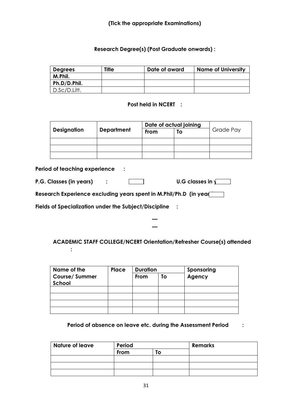### **Research Degree(s) (Post Graduate onwards) :**

| <b>Degrees</b> | <b>Title</b> | Date of award | <b>Name of University</b> |
|----------------|--------------|---------------|---------------------------|
| M.Phil.        |              |               |                           |
| Ph.D/D.Phil.   |              |               |                           |
| D.Sc/D.Litt.   |              |               |                           |

#### **Post held in NCERT :**

|             | <b>Department</b> | Date of actual joining |    |           |
|-------------|-------------------|------------------------|----|-----------|
| Designation |                   | From                   | Τo | Grade Pay |
|             |                   |                        |    |           |
|             |                   |                        |    |           |
|             |                   |                        |    |           |

#### **Period of teaching experience :**

**:**

| P.G. Classes (in years) |  |  | U.G classes in $\sqrt{\phantom{a}}$ |
|-------------------------|--|--|-------------------------------------|
|-------------------------|--|--|-------------------------------------|

Research Experience excluding years spent in M.Phil/Ph.D (in year

**Fields of Specialization under the Subject/Discipline :**

### **ACADEMIC STAFF COLLEGE/NCERT Orientation/Refresher Course(s) attended**

**— —**

| Name of the                    | Place | <b>Duration</b> |    | Sponsoring |
|--------------------------------|-------|-----------------|----|------------|
| <b>Course/Summer</b><br>School |       | From            | To | Agency     |
|                                |       |                 |    |            |
|                                |       |                 |    |            |
|                                |       |                 |    |            |
|                                |       |                 |    |            |

### **Period of absence on leave etc. during the Assessment Period :**

| Nature of leave | Period |   | <b>Remarks</b> |  |
|-----------------|--------|---|----------------|--|
|                 | From   | Ο |                |  |
|                 |        |   |                |  |
|                 |        |   |                |  |
|                 |        |   |                |  |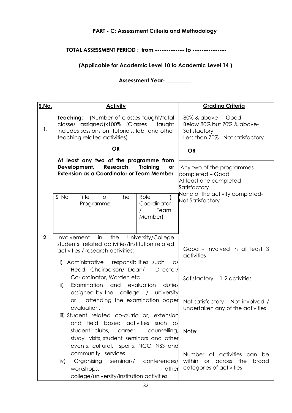# **PART - C: Assessment Criteria and Methodology**

### **TOTAL ASSESSMENT PERIOD : from ------------- to ---------------**

# **(Applicable for Academic Level 10 to Academic Level 14 )**

**Assessment Year- \_\_\_\_\_\_\_\_\_**

| <u>S.No.</u> |                                                             | <b>Activity</b>                                                                                                                                                          |                                               | <b>Grading Criteria</b>                                                                              |
|--------------|-------------------------------------------------------------|--------------------------------------------------------------------------------------------------------------------------------------------------------------------------|-----------------------------------------------|------------------------------------------------------------------------------------------------------|
| 1.           |                                                             | (Number of classes taught/total<br>Teaching:<br>classes assigned)x100% (Classes taught<br>includes sessions on tutorials, lab and other<br>teaching related activities)  |                                               | 80% & above - Good<br>Below 80% but 70% & above-<br>Satisfactory<br>Less than 70% - Not satisfactory |
|              |                                                             | <b>OR</b>                                                                                                                                                                |                                               | <b>OR</b>                                                                                            |
|              | Development,                                                | At least any two of the programme from<br>Research,<br><b>Extension as a Coordinator or Team Member</b>                                                                  | <b>Training</b><br>or                         | Any two of the programmes<br>completed – Good<br>At least one completed -<br>Satisfactory            |
|              | SI <sub>No</sub>                                            | Title<br>of<br>the<br>Programme                                                                                                                                          | Role<br>Coordinator<br>Team<br>Member)        | None of the activity completed-<br>Not Satisfactory                                                  |
|              |                                                             |                                                                                                                                                                          |                                               |                                                                                                      |
| 2.           | Involvement                                                 | in<br>the<br>students related activities/Institution related<br>activities / research activities:<br>i) Administrative responsibilities such<br>Head, Chairperson/ Dean/ | University/College<br>$\alpha$ s<br>Director/ | Good - Involved in at least 3<br>activities                                                          |
|              | $\mathsf{ii}$                                               | Co- ordinator, Warden etc.<br>Examination<br>assigned by the college / university                                                                                        | and evaluation duties                         | Satisfactory - 1-2 activities                                                                        |
|              | attending the examination paper<br><b>or</b><br>evaluation. |                                                                                                                                                                          |                                               | Not-satisfactory - Not involved /<br>undertaken any of the activities                                |
|              | and                                                         | iii) Student related co-curricular, extension<br>field based activities such                                                                                             | ası                                           |                                                                                                      |
|              |                                                             | student clubs, career<br>study visits, student seminars and other<br>events, cultural, sports, NCC, NSS and                                                              | counselling,                                  | Note:                                                                                                |
|              | iv)                                                         | community services.<br>Organising<br>workshops,<br>college/university/institution activities.                                                                            | seminars/ conferences/<br>other               | Number of activities can be<br>within<br>or across the<br>broad<br>categories of activities          |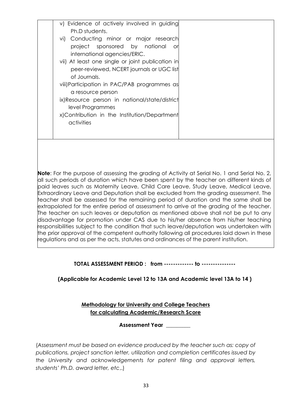| v) Evidence of actively involved in guiding      |  |
|--------------------------------------------------|--|
| Ph.D students.                                   |  |
| vi) Conducting minor or major research           |  |
| project sponsored by national<br>. or            |  |
| international agencies/ERIC.                     |  |
| vii) At least one single or joint publication in |  |
| peer-reviewed, NCERT journals or UGC list        |  |
| of Journals.                                     |  |
| viii) Participation in PAC/PAB programmes as     |  |
| a resource person                                |  |
| ix)Resource person in national/state/district    |  |
| level Programmes                                 |  |
| x)Contribution in the Institution/Department     |  |
| activities                                       |  |
|                                                  |  |
|                                                  |  |

**Note**: For the purpose of assessing the grading of Activity at Serial No. 1 and Serial No. 2, all such periods of duration which have been spent by the teacher on different kinds of paid leaves such as Maternity Leave, Child Care Leave, Study Leave, Medical Leave, Extraordinary Leave and Deputation shall be excluded from the grading assessment. The teacher shall be assessed for the remaining period of duration and the same shall be extrapolated for the entire period of assessment to arrive at the grading of the teacher. The teacher on such leaves or deputation as mentioned above shall not be put to any disadvantage for promotion under CAS due to his/her absence from his/her teaching responsibilities subject to the condition that such leave/deputation was undertaken with the prior approval of the competent authority following all procedures laid down in these regulations and as per the acts, statutes and ordinances of the parent institution.

### **TOTAL ASSESSMENT PERIOD : from ------------- to ---------------**

**(Applicable for Academic Level 12 to 13A and Academic level 13A to 14 )**

**Methodology for University and College Teachers for calculating Academic/Research Score**

**Assessment Year \_\_\_\_\_\_\_\_\_**

(*Assessment must be based on evidence produced by the teacher such as: copy of publications, project sanction letter, utilization and completion certificates issued by the University and acknowledgements for patent filing and approval letters, students' Ph.D. award letter, etc*,.)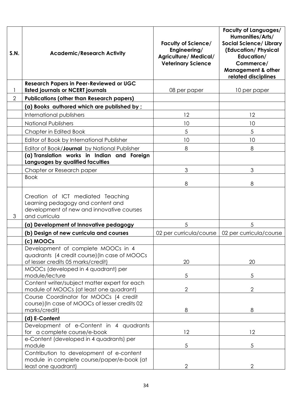| S.N. | <b>Academic/Research Activity</b>                                                                                                    | <b>Faculty of Science/</b><br>Engineering/<br><b>Agriculture/ Medical/</b><br><b>Veterinary Science</b> | <b>Faculty of Languages/</b><br>Humanities/Arts/<br><b>Social Science/ Library</b><br>(Education/Physical<br>Education/<br>Commerce/<br><b>Management &amp; other</b><br>related disciplines |
|------|--------------------------------------------------------------------------------------------------------------------------------------|---------------------------------------------------------------------------------------------------------|----------------------------------------------------------------------------------------------------------------------------------------------------------------------------------------------|
|      | <b>Research Papers in Peer-Reviewed or UGC</b><br>listed journals or NCERT journals                                                  | 08 per paper                                                                                            | 10 per paper                                                                                                                                                                                 |
| 2    | <b>Publications (other than Research papers)</b>                                                                                     |                                                                                                         |                                                                                                                                                                                              |
|      | (a) Books authored which are published by ;                                                                                          |                                                                                                         |                                                                                                                                                                                              |
|      | International publishers                                                                                                             | 12                                                                                                      | 12                                                                                                                                                                                           |
|      | <b>National Publishers</b>                                                                                                           | 10                                                                                                      | 10                                                                                                                                                                                           |
|      | Chapter in Edited Book                                                                                                               | 5                                                                                                       | 5                                                                                                                                                                                            |
|      | Editor of Book by International Publisher                                                                                            | 10                                                                                                      | 10                                                                                                                                                                                           |
|      | Editor of Book/Journal by National Publisher                                                                                         | 8                                                                                                       | 8                                                                                                                                                                                            |
|      | (a) Translation works in Indian and Foreign<br>Languages by qualified faculties                                                      |                                                                                                         |                                                                                                                                                                                              |
|      | Chapter or Research paper                                                                                                            | 3                                                                                                       | 3                                                                                                                                                                                            |
|      | <b>Book</b>                                                                                                                          | 8                                                                                                       | 8                                                                                                                                                                                            |
| 3    | Creation of ICT mediated Teaching<br>Learning pedagogy and content and<br>development of new and innovative courses<br>and curricula |                                                                                                         |                                                                                                                                                                                              |
|      | (a) Development of Innovative pedagogy                                                                                               | 5                                                                                                       | 5                                                                                                                                                                                            |
|      | (b) Design of new curricula and courses                                                                                              | 02 per curricula/course                                                                                 | 02 per curricula/course                                                                                                                                                                      |
|      | (c) MOOCs                                                                                                                            |                                                                                                         |                                                                                                                                                                                              |
|      | Development of complete MOOCs in 4<br>quadrants (4 credit course) (In case of MOOCs<br>of lesser credits 05 marks/credit)            | 20                                                                                                      | 20                                                                                                                                                                                           |
|      | MOOCs (developed in 4 quadrant) per<br>module/lecture                                                                                | $\sqrt{5}$                                                                                              | 5                                                                                                                                                                                            |
|      | Content writer/subject matter expert for each<br>module of MOOCs (at least one quadrant)                                             | $\mathbf{2}$                                                                                            | $\mathbf{2}$                                                                                                                                                                                 |
|      | Course Coordinator for MOOCs (4 credit<br>course) (In case of MOOCs of lesser credits 02<br>marks/credit)                            | 8                                                                                                       | 8                                                                                                                                                                                            |
|      | (d) E-Content                                                                                                                        |                                                                                                         |                                                                                                                                                                                              |
|      | Development of e-Content in 4 quadrants<br>for a complete course/e-book                                                              | 12                                                                                                      | 12                                                                                                                                                                                           |
|      | e-Content (developed in 4 quadrants) per<br>module                                                                                   | $\sqrt{5}$                                                                                              | 5                                                                                                                                                                                            |
|      | Contribution to development of e-content<br>module in complete course/paper/e-book (at<br>least one quadrant)                        | $\overline{2}$                                                                                          | 2                                                                                                                                                                                            |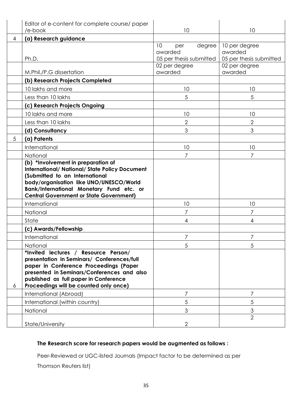|   | Editor of e-content for complete course/ paper<br>/e-book                                                                                                                                                                                                     | 10                                                        | 10                                                  |
|---|---------------------------------------------------------------------------------------------------------------------------------------------------------------------------------------------------------------------------------------------------------------|-----------------------------------------------------------|-----------------------------------------------------|
| 4 | (a) Research guidance                                                                                                                                                                                                                                         |                                                           |                                                     |
|   | Ph.D.                                                                                                                                                                                                                                                         | 10<br>degree<br>per<br>awarded<br>05 per thesis submitted | 10 per degree<br>awarded<br>05 per thesis submitted |
|   |                                                                                                                                                                                                                                                               | 02 per degree                                             | 02 per degree                                       |
|   | M.Phil./P.G dissertation                                                                                                                                                                                                                                      | awarded                                                   | awarded                                             |
|   | (b) Research Projects Completed                                                                                                                                                                                                                               |                                                           |                                                     |
|   | 10 lakhs and more                                                                                                                                                                                                                                             | 10                                                        | 10                                                  |
|   | Less than 10 lakhs                                                                                                                                                                                                                                            | 5                                                         | 5                                                   |
|   | (c) Research Projects Ongoing                                                                                                                                                                                                                                 |                                                           |                                                     |
|   | 10 lakhs and more                                                                                                                                                                                                                                             | 10                                                        | 10                                                  |
|   | Less than 10 lakhs                                                                                                                                                                                                                                            | $\mathbf{2}$                                              | 2                                                   |
|   | (d) Consultancy                                                                                                                                                                                                                                               | 3                                                         | 3                                                   |
| 5 | (a) Patents                                                                                                                                                                                                                                                   |                                                           |                                                     |
|   | International                                                                                                                                                                                                                                                 | 10                                                        | 10                                                  |
|   | National                                                                                                                                                                                                                                                      | $\overline{7}$                                            | 7                                                   |
|   | (Submitted to an International<br>body/organisation like UNO/UNESCO/World<br>Bank/International Monetary Fund etc. or<br><b>Central Government or State Government)</b>                                                                                       |                                                           |                                                     |
|   | International                                                                                                                                                                                                                                                 | 10                                                        | 10                                                  |
|   | National                                                                                                                                                                                                                                                      | 7                                                         | 7                                                   |
|   | State                                                                                                                                                                                                                                                         | 4                                                         | 4                                                   |
|   | (c) Awards/Fellowship                                                                                                                                                                                                                                         |                                                           |                                                     |
|   | International                                                                                                                                                                                                                                                 | 7                                                         | 7                                                   |
|   | National                                                                                                                                                                                                                                                      | 5                                                         | 5                                                   |
| 6 | *Invited lectures / Resource Person/<br>presentation in Seminars/ Conferences/full<br>paper in Conference Proceedings (Paper<br>presented in Seminars/Conferences and also<br>published as full paper in Conference<br>Proceedings will be counted only once) |                                                           |                                                     |
|   | International (Abroad)                                                                                                                                                                                                                                        | $\overline{7}$                                            | 7                                                   |
|   | International (within country)                                                                                                                                                                                                                                | 5                                                         | 5                                                   |
|   | National                                                                                                                                                                                                                                                      | 3                                                         | $\mathfrak 3$                                       |
|   | State/University                                                                                                                                                                                                                                              | $\overline{2}$                                            | $\overline{2}$                                      |

# **The Research score for research papers would be augmented as follows :**

Peer-Reviewed or UGC-listed Journals (Impact factor to be determined as per

Thomson Reuters list)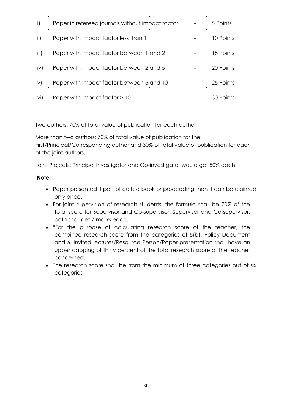| -i)           | Paper in refereed journals without impact factor | 5 Points  |
|---------------|--------------------------------------------------|-----------|
| $\mathsf{ii}$ | Paper with impact factor less than 1             | 10 Points |
| iii)          | Paper with impact factor between 1 and 2         | 15 Points |
| iv)           | Paper with impact factor between 2 and 5         | 20 Points |
| V)            | Paper with impact factor between 5 and 10        | 25 Points |
| vi)           | Paper with impact factor > 10                    | 30 Points |

Two authors: 70% of total value of publication for each author.

More than two authors: 70% of total value of publication for the First/Principal/Corresponding author and 30% of total value of publication for each of the joint authors.

Joint Projects: Principal Investigator and Co-investigator would get 50% each.

### **Note:**

- Paper presented if part of edited book or proceeding then it can be claimed only once.
- For joint supervision of research students, the formula shall be 70% of the total score for Supervisor and Co-supervisor. Supervisor and Co-supervisor, both shall get 7 marks each.
- \*For the purpose of calculating research score of the teacher, the combined research score from the categories of 5(b). Policy Document and 6. Invited lectures/Resource Person/Paper presentation shall have an upper capping of thirty percent of the total research score of the teacher concerned.
- The research score shall be from the minimum of three categories out of six categories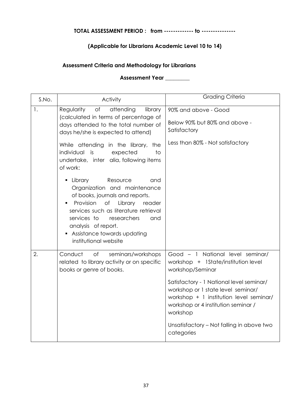# **TOTAL ASSESSMENT PERIOD : from ------------- to ---------------**

### **(Applicable for Librarians Academic Level 10 to 14)**

### **Assessment Criteria and Methodology for Librarians**

# **Assessment Year \_\_\_\_\_\_\_\_\_**

| S.No. | Activity                                                                                                                                                                                                                                                                                                 | Grading Criteria                                                                                                                                                             |
|-------|----------------------------------------------------------------------------------------------------------------------------------------------------------------------------------------------------------------------------------------------------------------------------------------------------------|------------------------------------------------------------------------------------------------------------------------------------------------------------------------------|
| 1.    | $\circ$ f<br>attending<br>Regularity<br>library<br>(calculated in terms of percentage of<br>days attended to the total number of<br>days he/she is expected to attend)                                                                                                                                   | 90% and above - Good<br>Below 90% but 80% and above -<br>Satisfactory                                                                                                        |
|       | While attending in the library, the<br>individual is<br>expected<br>to<br>undertake, inter alia, following items<br>of work:                                                                                                                                                                             | Less than 80% - Not satisfactory                                                                                                                                             |
|       | • Library<br>Resource<br>and<br>Organization and maintenance<br>of books, journals and reports.<br>Provision of<br>Library<br>reader<br>٠<br>services such as literature retrieval<br>services to<br>researchers<br>and<br>analysis of report.<br>• Assistance towards updating<br>institutional website |                                                                                                                                                                              |
| 2.    | Conduct<br>of<br>seminars/workshops<br>related to library activity or on specific<br>books or genre of books.                                                                                                                                                                                            | Good - 1 National level seminar/<br>workshop + 1State/institution level<br>workshop/Seminar                                                                                  |
|       |                                                                                                                                                                                                                                                                                                          | Satisfactory - 1 National level seminar/<br>workshop or 1 state level seminar/<br>workshop + 1 institution level seminar/<br>workshop or 4 institution seminar /<br>workshop |
|       |                                                                                                                                                                                                                                                                                                          | Unsatisfactory - Not falling in above two<br>categories                                                                                                                      |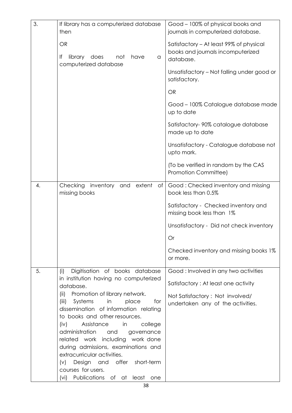| 3. | If library has a computerized database<br>then                                                                                                                                                                                                                                                                                                                                                                     | Good - 100% of physical books and<br>journals in computerized database.                   |
|----|--------------------------------------------------------------------------------------------------------------------------------------------------------------------------------------------------------------------------------------------------------------------------------------------------------------------------------------------------------------------------------------------------------------------|-------------------------------------------------------------------------------------------|
|    | <b>OR</b><br>lf<br>library<br>does<br>have<br>not<br>a<br>computerized database                                                                                                                                                                                                                                                                                                                                    | Satisfactory - At least 99% of physical<br>books and journals incomputerized<br>database. |
|    |                                                                                                                                                                                                                                                                                                                                                                                                                    | Unsatisfactory - Not falling under good or<br>satisfactory.                               |
|    |                                                                                                                                                                                                                                                                                                                                                                                                                    | <b>OR</b>                                                                                 |
|    |                                                                                                                                                                                                                                                                                                                                                                                                                    | Good - 100% Catalogue database made<br>up to date                                         |
|    |                                                                                                                                                                                                                                                                                                                                                                                                                    | Satisfactory-90% catalogue database<br>made up to date                                    |
|    |                                                                                                                                                                                                                                                                                                                                                                                                                    | Unsatisfactory - Catalogue database not<br>upto mark.                                     |
|    |                                                                                                                                                                                                                                                                                                                                                                                                                    | (To be verified in random by the CAS<br>Promotion Committee)                              |
| 4. | Checking<br>extent<br>inventory<br>and<br>Оf<br>missing books                                                                                                                                                                                                                                                                                                                                                      | Good: Checked inventory and missing<br>book less than 0.5%                                |
|    |                                                                                                                                                                                                                                                                                                                                                                                                                    | Satisfactory - Checked inventory and<br>missing book less than 1%                         |
|    |                                                                                                                                                                                                                                                                                                                                                                                                                    | Unsatisfactory - Did not check inventory                                                  |
|    |                                                                                                                                                                                                                                                                                                                                                                                                                    | Or                                                                                        |
|    |                                                                                                                                                                                                                                                                                                                                                                                                                    | Checked inventory and missing books 1%<br>or more.                                        |
| 5. | Digitisation of books database<br>(i)                                                                                                                                                                                                                                                                                                                                                                              | Good: Involved in any two activities                                                      |
|    | in institution having no computerized<br>database.                                                                                                                                                                                                                                                                                                                                                                 | Satisfactory: At least one activity                                                       |
|    | Promotion of library network.<br>(ii)<br>(iii)<br>Systems<br>in<br>place<br>for<br>dissemination of information relating<br>to books and other resources.<br>(iv)<br>Assistance<br>in<br>college<br>administration<br>and<br>governance<br>related work including work done<br>during admissions, examinations and<br>extracurricular activities.<br>Design and offer short-term<br>$(\vee)$<br>courses for users. | Not Satisfactory: Not involved/<br>undertaken any of the activities.                      |
|    | (vi) Publications of at least one                                                                                                                                                                                                                                                                                                                                                                                  |                                                                                           |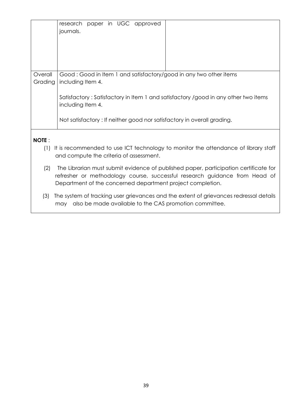|                     | paper in UGC approved<br>research<br>journals.                                                                                                                                                                                   |  |  |
|---------------------|----------------------------------------------------------------------------------------------------------------------------------------------------------------------------------------------------------------------------------|--|--|
| Overall<br>Grading  | Good: Good in Item 1 and satisfactory/good in any two other items<br>including Item 4.                                                                                                                                           |  |  |
|                     | Satisfactory: Satisfactory in Item 1 and satisfactory /good in any other two items<br>including Item 4.                                                                                                                          |  |  |
|                     | Not satisfactory: If neither good nor satisfactory in overall grading.                                                                                                                                                           |  |  |
| <b>NOTE:</b><br>(1) | It is recommended to use ICT technology to monitor the attendance of library staff<br>and compute the criteria of assessment.                                                                                                    |  |  |
| (2)                 | The Librarian must submit evidence of published paper, participation certificate for<br>refresher or methodology course, successful research guidance from Head of<br>Department of the concerned department project completion. |  |  |
| (3)                 | The system of tracking user grievances and the extent of grievances redressal details<br>also be made available to the CAS promotion committee.<br>may                                                                           |  |  |